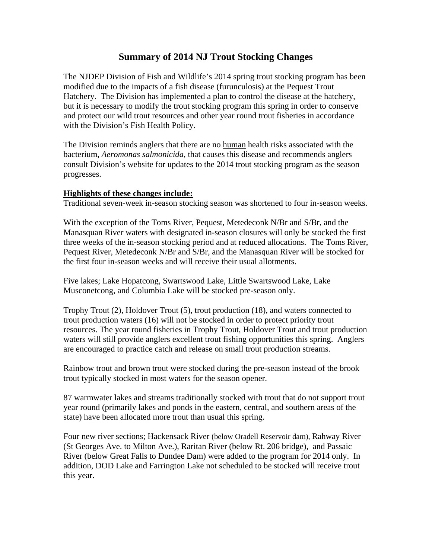## **Summary of 2014 NJ Trout Stocking Changes**

The NJDEP Division of Fish and Wildlife's 2014 spring trout stocking program has been modified due to the impacts of a fish disease (furunculosis) at the Pequest Trout Hatchery. The Division has implemented a plan to control the disease at the hatchery, but it is necessary to modify the trout stocking program this spring in order to conserve and protect our wild trout resources and other year round trout fisheries in accordance with the Division's Fish Health Policy.

The Division reminds anglers that there are no human health risks associated with the bacterium, *Aeromonas salmonicida*, that causes this disease and recommends anglers consult Division's website for updates to the 2014 trout stocking program as the season progresses.

## **Highlights of these changes include:**

Traditional seven-week in-season stocking season was shortened to four in-season weeks.

With the exception of the Toms River, Pequest, Metedeconk N/Br and S/Br, and the Manasquan River waters with designated in-season closures will only be stocked the first three weeks of the in-season stocking period and at reduced allocations. The Toms River, Pequest River, Metedeconk N/Br and S/Br, and the Manasquan River will be stocked for the first four in-season weeks and will receive their usual allotments.

Five lakes; Lake Hopatcong, Swartswood Lake, Little Swartswood Lake, Lake Musconetcong, and Columbia Lake will be stocked pre-season only.

Trophy Trout (2), Holdover Trout (5), trout production (18), and waters connected to trout production waters (16) will not be stocked in order to protect priority trout resources. The year round fisheries in Trophy Trout, Holdover Trout and trout production waters will still provide anglers excellent trout fishing opportunities this spring. Anglers are encouraged to practice catch and release on small trout production streams.

Rainbow trout and brown trout were stocked during the pre-season instead of the brook trout typically stocked in most waters for the season opener.

87 warmwater lakes and streams traditionally stocked with trout that do not support trout year round (primarily lakes and ponds in the eastern, central, and southern areas of the state) have been allocated more trout than usual this spring.

Four new river sections; Hackensack River (below Oradell Reservoir dam), Rahway River (St Georges Ave. to Milton Ave.), Raritan River (below Rt. 206 bridge), and Passaic River (below Great Falls to Dundee Dam) were added to the program for 2014 only. In addition, DOD Lake and Farrington Lake not scheduled to be stocked will receive trout this year.